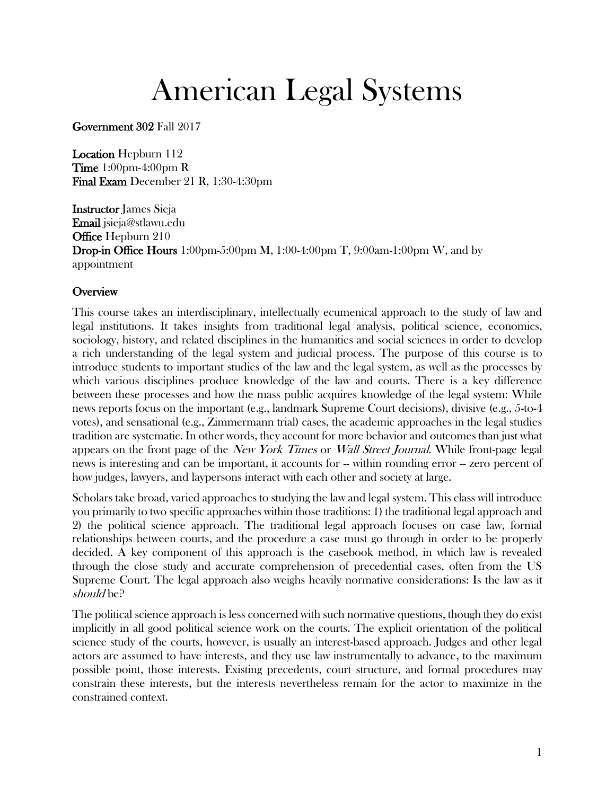# American Legal Systems

Government 302 Fall 2017

Location Hepburn 112 Time 1:00pm-4:00pm R Final Exam December 21 R, 1:30-4:30pm

Instructor James Sieja Email jsieja@stlawu.edu **Office Hepburn 210** Drop-in Office Hours 1:00pm-5:00pm M, 1:00-4:00pm T, 9:00am-1:00pm W, and by appointment

#### **Overview**

This course takes an interdisciplinary, intellectually ecumenical approach to the study of law and legal institutions. It takes insights from traditional legal analysis, political science, economics, sociology, history, and related disciplines in the humanities and social sciences in order to develop a rich understanding of the legal system and judicial process. The purpose of this course is to introduce students to important studies of the law and the legal system, as well as the processes by which various disciplines produce knowledge of the law and courts. There is a key difference between these processes and how the mass public acquires knowledge of the legal system: While news reports focus on the important (e.g., landmark Supreme Court decisions), divisive (e.g., 5-to-4 votes), and sensational (e.g., Zimmermann trial) cases, the academic approaches in the legal studies tradition are systematic. In other words, they account for more behavior and outcomes than just what appears on the front page of the *New York Times* or *Wall Street Journal*. While front-page legal news is interesting and can be important, it accounts for -- within rounding error -- zero percent of how judges, lawyers, and laypersons interact with each other and society at large.

Scholars take broad, varied approaches to studying the law and legal system. This class will introduce you primarily to two specific approaches within those traditions: 1) the traditional legal approach and 2) the political science approach. The traditional legal approach focuses on case law, formal relationships between courts, and the procedure a case must go through in order to be properly decided. A key component of this approach is the casebook method, in which law is revealed through the close study and accurate comprehension of precedential cases, often from the US Supreme Court. The legal approach also weighs heavily normative considerations: Is the law as it should be?

The political science approach is less concerned with such normative questions, though they do exist implicitly in all good political science work on the courts. The explicit orientation of the political science study of the courts, however, is usually an interest-based approach. Judges and other legal actors are assumed to have interests, and they use law instrumentally to advance, to the maximum possible point, those interests. Existing precedents, court structure, and formal procedures may constrain these interests, but the interests nevertheless remain for the actor to maximize in the constrained context.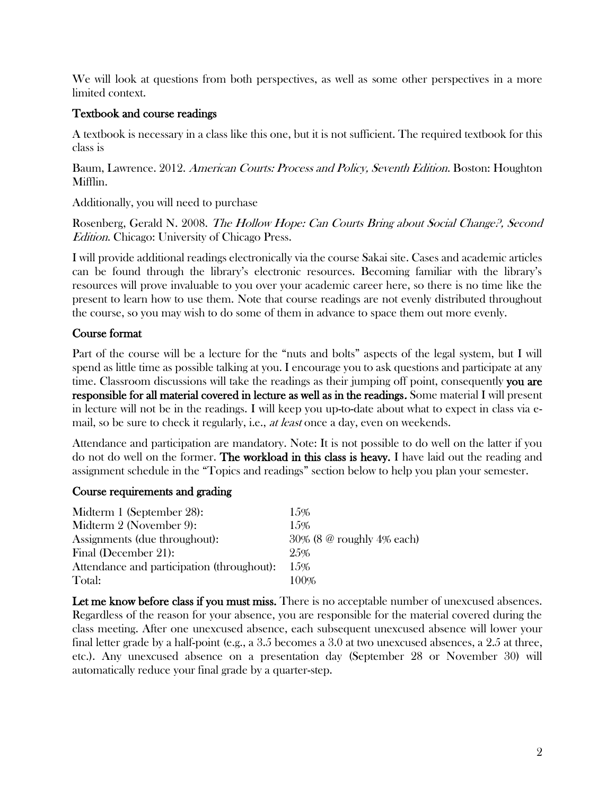We will look at questions from both perspectives, as well as some other perspectives in a more limited context.

### Textbook and course readings

A textbook is necessary in a class like this one, but it is not sufficient. The required textbook for this class is

Baum, Lawrence. 2012. American Courts: Process and Policy, Seventh Edition. Boston: Houghton Mifflin.

Additionally, you will need to purchase

Rosenberg, Gerald N. 2008. The Hollow Hope: Can Courts Bring about Social Change?, Second Edition. Chicago: University of Chicago Press.

I will provide additional readings electronically via the course Sakai site. Cases and academic articles can be found through the library's electronic resources. Becoming familiar with the library's resources will prove invaluable to you over your academic career here, so there is no time like the present to learn how to use them. Note that course readings are not evenly distributed throughout the course, so you may wish to do some of them in advance to space them out more evenly.

## Course format

Part of the course will be a lecture for the "nuts and bolts" aspects of the legal system, but I will spend as little time as possible talking at you. I encourage you to ask questions and participate at any time. Classroom discussions will take the readings as their jumping off point, consequently you are responsible for all material covered in lecture as well as in the readings. Some material I will present in lecture will not be in the readings. I will keep you up-to-date about what to expect in class via email, so be sure to check it regularly, i.e., at least once a day, even on weekends.

Attendance and participation are mandatory. Note: It is not possible to do well on the latter if you do not do well on the former. **The workload in this class is heavy.** I have laid out the reading and assignment schedule in the "Topics and readings" section below to help you plan your semester.

#### Course requirements and grading

| Midterm 1 (September 28):                  | 1.5%                                |
|--------------------------------------------|-------------------------------------|
| Midterm 2 (November 9):                    | $1.5\%$                             |
| Assignments (due throughout):              | $30\%$ (8 $\omega$ roughly 4% each) |
| Final (December 21):                       | 25%                                 |
| Attendance and participation (throughout): | 1.5%                                |
| Total:                                     | $100\%$                             |

Let me know before class if you must miss. There is no acceptable number of unexcused absences. Regardless of the reason for your absence, you are responsible for the material covered during the class meeting. After one unexcused absence, each subsequent unexcused absence will lower your final letter grade by a half-point (e.g., a 3.5 becomes a 3.0 at two unexcused absences, a 2.5 at three, etc.). Any unexcused absence on a presentation day (September 28 or November 30) will automatically reduce your final grade by a quarter-step.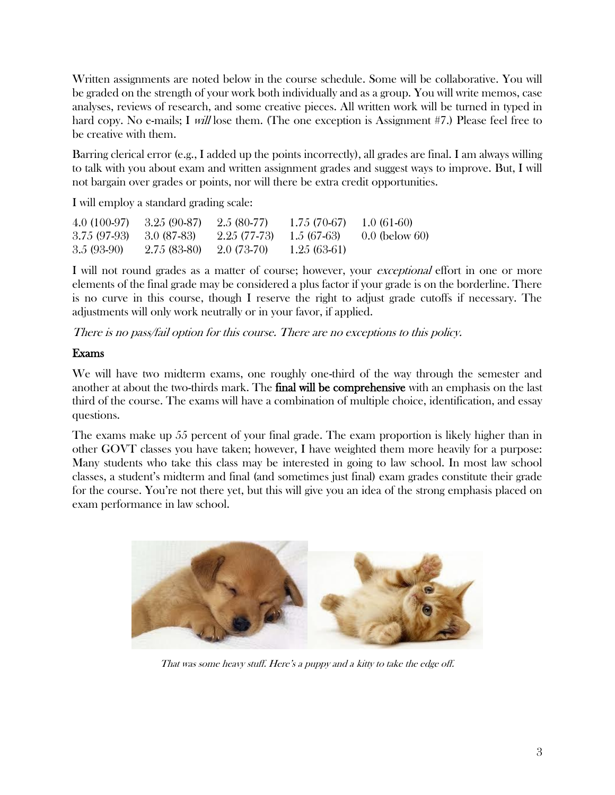Written assignments are noted below in the course schedule. Some will be collaborative. You will be graded on the strength of your work both individually and as a group. You will write memos, case analyses, reviews of research, and some creative pieces. All written work will be turned in typed in hard copy. No e-mails; I will lose them. (The one exception is Assignment #7.) Please feel free to be creative with them.

Barring clerical error (e.g., I added up the points incorrectly), all grades are final. I am always willing to talk with you about exam and written assignment grades and suggest ways to improve. But, I will not bargain over grades or points, nor will there be extra credit opportunities.

I will employ a standard grading scale:

| $4.0(100-97)$ | $3.25(90-87)$ | $2.5(80-77)$ | $1.75(70-67)$ | $1.0(61-60)$     |
|---------------|---------------|--------------|---------------|------------------|
| $3.75(97-93)$ | -3.0 (87-83)  | 2.25 (77-73) | 1.5 (67-63)   | $0.0$ (below 60) |
| $3.5(93-90)$  | $2.75(83-80)$ | $2.0(73-70)$ | $1.25(63-61)$ |                  |

I will not round grades as a matter of course; however, your *exceptional* effort in one or more elements of the final grade may be considered a plus factor if your grade is on the borderline. There is no curve in this course, though I reserve the right to adjust grade cutoffs if necessary. The adjustments will only work neutrally or in your favor, if applied.

There is no pass/fail option for this course. There are no exceptions to this policy.

# Exams

We will have two midterm exams, one roughly one-third of the way through the semester and another at about the two-thirds mark. The **final will be comprehensive** with an emphasis on the last third of the course. The exams will have a combination of multiple choice, identification, and essay questions.

The exams make up 55 percent of your final grade. The exam proportion is likely higher than in other GOVT classes you have taken; however, I have weighted them more heavily for a purpose: Many students who take this class may be interested in going to law school. In most law school classes, a student's midterm and final (and sometimes just final) exam grades constitute their grade for the course. You're not there yet, but this will give you an idea of the strong emphasis placed on exam performance in law school.



That was some heavy stuff. Here's a puppy and a kitty to take the edge off.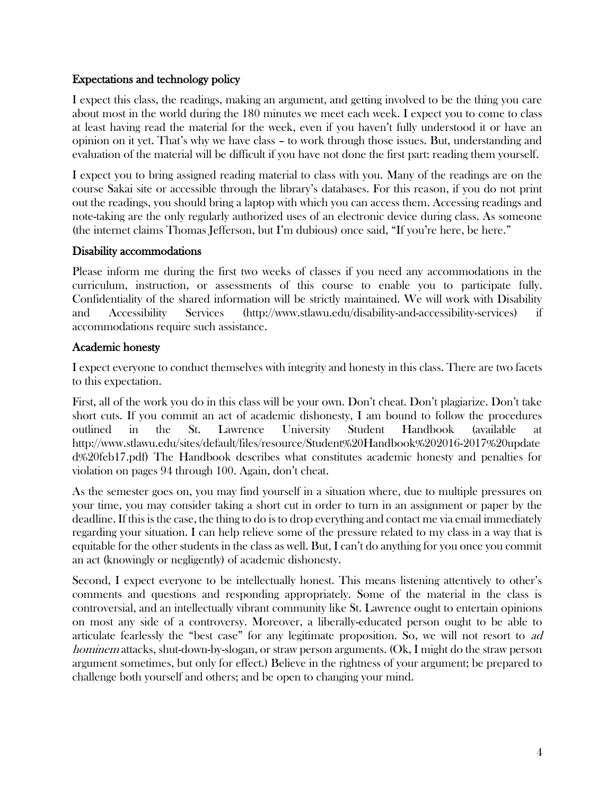#### Expectations and technology policy

I expect this class, the readings, making an argument, and getting involved to be the thing you care about most in the world during the 180 minutes we meet each week. I expect you to come to class at least having read the material for the week, even if you haven't fully understood it or have an opinion on it yet. That's why we have class – to work through those issues. But, understanding and evaluation of the material will be difficult if you have not done the first part: reading them yourself.

I expect you to bring assigned reading material to class with you. Many of the readings are on the course Sakai site or accessible through the library's databases. For this reason, if you do not print out the readings, you should bring a laptop with which you can access them. Accessing readings and note-taking are the only regularly authorized uses of an electronic device during class. As someone (the internet claims Thomas Jefferson, but I'm dubious) once said, "If you're here, be here."

#### Disability accommodations

Please inform me during the first two weeks of classes if you need any accommodations in the curriculum, instruction, or assessments of this course to enable you to participate fully. Confidentiality of the shared information will be strictly maintained. We will work with Disability and Accessibility Services (http://www.stlawu.edu/disability-and-accessibility-services) if accommodations require such assistance.

#### Academic honesty

I expect everyone to conduct themselves with integrity and honesty in this class. There are two facets to this expectation.

First, all of the work you do in this class will be your own. Don't cheat. Don't plagiarize. Don't take short cuts. If you commit an act of academic dishonesty, I am bound to follow the procedures outlined in the St. Lawrence University Student Handbook (available at http://www.stlawu.edu/sites/default/files/resource/Student%20Handbook%202016-2017%20update d%20feb17.pdf) The Handbook describes what constitutes academic honesty and penalties for violation on pages 94 through 100. Again, don't cheat.

As the semester goes on, you may find yourself in a situation where, due to multiple pressures on your time, you may consider taking a short cut in order to turn in an assignment or paper by the deadline. If this is the case, the thing to do is to drop everything and contact me via email immediately regarding your situation. I can help relieve some of the pressure related to my class in a way that is equitable for the other students in the class as well. But, I can't do anything for you once you commit an act (knowingly or negligently) of academic dishonesty.

Second, I expect everyone to be intellectually honest. This means listening attentively to other's comments and questions and responding appropriately. Some of the material in the class is controversial, and an intellectually vibrant community like St. Lawrence ought to entertain opinions on most any side of a controversy. Moreover, a liberally-educated person ought to be able to articulate fearlessly the "best case" for any legitimate proposition. So, we will not resort to ad hominem attacks, shut-down-by-slogan, or straw person arguments. (Ok, I might do the straw person argument sometimes, but only for effect.) Believe in the rightness of your argument; be prepared to challenge both yourself and others; and be open to changing your mind.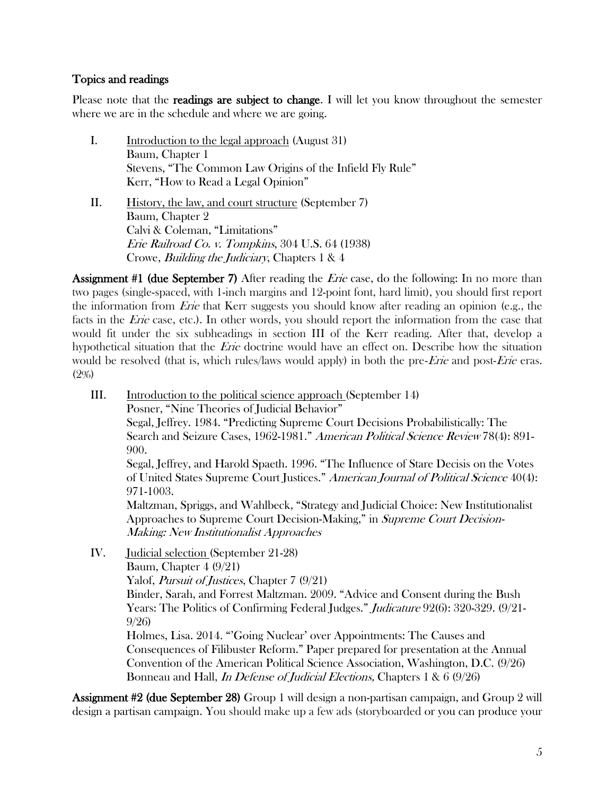#### Topics and readings

Please note that the **readings are subject to change.** I will let you know throughout the semester where we are in the schedule and where we are going.

- I. Introduction to the legal approach (August 31) Baum, Chapter 1 Stevens, "The Common Law Origins of the Infield Fly Rule" Kerr, "How to Read a Legal Opinion"
- II. History, the law, and court structure (September 7) Baum, Chapter 2 Calvi & Coleman, "Limitations" Erie Railroad Co. v. Tompkins, 304 U.S. 64 (1938) Crowe, Building the Judiciary, Chapters 1 & 4

**Assignment #1 (due September 7)** After reading the *Erie* case, do the following: In no more than two pages (single-spaced, with 1-inch margins and 12-point font, hard limit), you should first report the information from *Erie* that Kerr suggests you should know after reading an opinion (e.g., the facts in the *Erie* case, etc.). In other words, you should report the information from the case that would fit under the six subheadings in section III of the Kerr reading. After that, develop a hypothetical situation that the Erie doctrine would have an effect on. Describe how the situation would be resolved (that is, which rules/laws would apply) in both the pre-*Erie* and post-*Erie* eras. (2%)

- III. Introduction to the political science approach (September 14) Posner, "Nine Theories of Judicial Behavior" Segal, Jeffrey. 1984. "Predicting Supreme Court Decisions Probabilistically: The Search and Seizure Cases, 1962-1981." American Political Science Review 78(4): 891-900. Segal, Jeffrey, and Harold Spaeth. 1996. "The Influence of Stare Decisis on the Votes of United States Supreme Court Justices." American Journal of Political Science 40(4): 971-1003. Maltzman, Spriggs, and Wahlbeck, "Strategy and Judicial Choice: New Institutionalist Approaches to Supreme Court Decision-Making," in Supreme Court Decision-Making: New Institutionalist Approaches
- IV. Judicial selection (September 21-28)

Baum, Chapter 4 (9/21) Yalof, *Pursuit of Justices*, Chapter 7 (9/21)

Binder, Sarah, and Forrest Maltzman. 2009. "Advice and Consent during the Bush Years: The Politics of Confirming Federal Judges." *Judicature* 92(6): 320-329. (9/21-9/26)

Holmes, Lisa. 2014. "'Going Nuclear' over Appointments: The Causes and Consequences of Filibuster Reform." Paper prepared for presentation at the Annual Convention of the American Political Science Association, Washington, D.C. (9/26) Bonneau and Hall, *In Defense of Judicial Elections*, Chapters 1 & 6 (9/26)

Assignment #2 (due September 28) Group 1 will design a non-partisan campaign, and Group 2 will design a partisan campaign. You should make up a few ads (storyboarded or you can produce your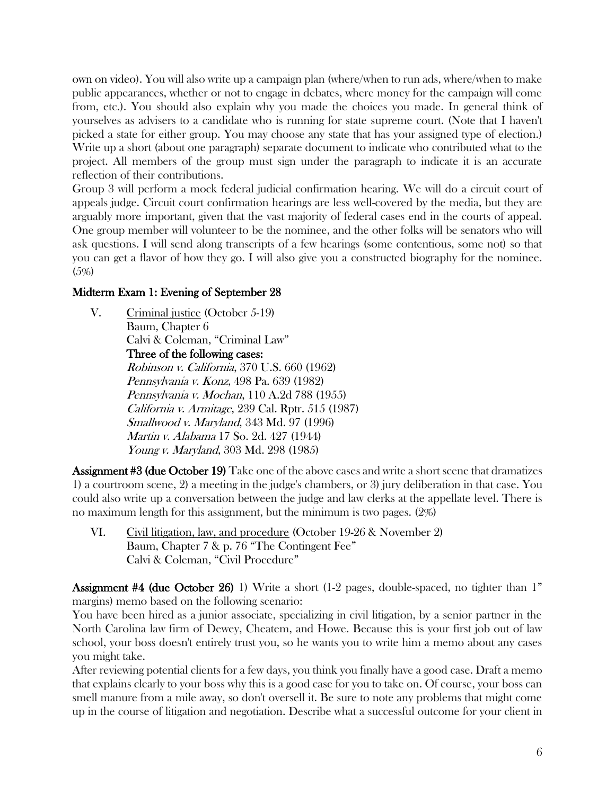own on video). You will also write up a campaign plan (where/when to run ads, where/when to make public appearances, whether or not to engage in debates, where money for the campaign will come from, etc.). You should also explain why you made the choices you made. In general think of yourselves as advisers to a candidate who is running for state supreme court. (Note that I haven't picked a state for either group. You may choose any state that has your assigned type of election.) Write up a short (about one paragraph) separate document to indicate who contributed what to the project. All members of the group must sign under the paragraph to indicate it is an accurate reflection of their contributions.

Group 3 will perform a mock federal judicial confirmation hearing. We will do a circuit court of appeals judge. Circuit court confirmation hearings are less well-covered by the media, but they are arguably more important, given that the vast majority of federal cases end in the courts of appeal. One group member will volunteer to be the nominee, and the other folks will be senators who will ask questions. I will send along transcripts of a few hearings (some contentious, some not) so that you can get a flavor of how they go. I will also give you a constructed biography for the nominee. (5%)

#### Midterm Exam 1: Evening of September 28

V. Criminal justice (October 5-19) Baum, Chapter 6 Calvi & Coleman, "Criminal Law" Three of the following cases: Robinson v. California, 370 U.S. 660 (1962) Pennsylvania v. Konz, 498 Pa. 639 (1982) Pennsylvania v. Mochan, 110 A.2d 788 (1955) California v. Armitage, 239 Cal. Rptr. 515 (1987) Smallwood v. Maryland, 343 Md. 97 (1996) Martin v. Alabama 17 So. 2d. 427 (1944) Young v. Maryland, 303 Md. 298 (1985)

**Assignment #3 (due October 19)** Take one of the above cases and write a short scene that dramatizes 1) a courtroom scene, 2) a meeting in the judge's chambers, or 3) jury deliberation in that case. You could also write up a conversation between the judge and law clerks at the appellate level. There is no maximum length for this assignment, but the minimum is two pages. (2%)

VI. Civil litigation, law, and procedure (October 19-26 & November 2) Baum, Chapter 7 & p. 76 "The Contingent Fee" Calvi & Coleman, "Civil Procedure"

**Assignment #4 (due October 26)** 1) Write a short (1-2 pages, double-spaced, no tighter than 1" margins) memo based on the following scenario:

You have been hired as a junior associate, specializing in civil litigation, by a senior partner in the North Carolina law firm of Dewey, Cheatem, and Howe. Because this is your first job out of law school, your boss doesn't entirely trust you, so he wants you to write him a memo about any cases you might take.

After reviewing potential clients for a few days, you think you finally have a good case. Draft a memo that explains clearly to your boss why this is a good case for you to take on. Of course, your boss can smell manure from a mile away, so don't oversell it. Be sure to note any problems that might come up in the course of litigation and negotiation. Describe what a successful outcome for your client in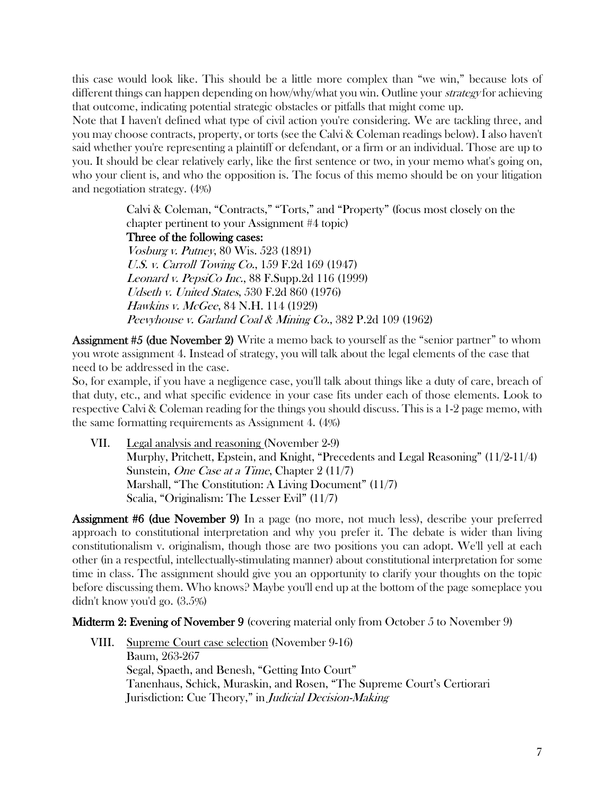this case would look like. This should be a little more complex than "we win," because lots of different things can happen depending on how/why/what you win. Outline your *strategy* for achieving that outcome, indicating potential strategic obstacles or pitfalls that might come up.

Note that I haven't defined what type of civil action you're considering. We are tackling three, and you may choose contracts, property, or torts (see the Calvi & Coleman readings below). I also haven't said whether you're representing a plaintiff or defendant, or a firm or an individual. Those are up to you. It should be clear relatively early, like the first sentence or two, in your memo what's going on, who your client is, and who the opposition is. The focus of this memo should be on your litigation and negotiation strategy. (4%)

> Calvi & Coleman, "Contracts," "Torts," and "Property" (focus most closely on the chapter pertinent to your Assignment #4 topic) Three of the following cases: Vosburg v. Putney, 80 Wis. 523 (1891) U.S. v. Carroll Towing Co., 159 F.2d 169 (1947) Leonard v. PepsiCo Inc., 88 F.Supp.2d 116 (1999) Udseth v. United States, 530 F.2d 860 (1976) Hawkins v. McGee, 84 N.H. 114 (1929) Peevyhouse v. Garland Coal & Mining Co., 382 P.2d 109 (1962)

Assignment #5 (due November 2) Write a memo back to yourself as the "senior partner" to whom you wrote assignment 4. Instead of strategy, you will talk about the legal elements of the case that need to be addressed in the case.

So, for example, if you have a negligence case, you'll talk about things like a duty of care, breach of that duty, etc., and what specific evidence in your case fits under each of those elements. Look to respective Calvi & Coleman reading for the things you should discuss. This is a 1-2 page memo, with the same formatting requirements as Assignment 4. (4%)

VII. Legal analysis and reasoning (November 2-9) Murphy, Pritchett, Epstein, and Knight, "Precedents and Legal Reasoning" (11/2-11/4) Sunstein, *One Case at a Time*, Chapter 2 (11/7) Marshall, "The Constitution: A Living Document" (11/7) Scalia, "Originalism: The Lesser Evil" (11/7)

Assignment #6 (due November 9) In a page (no more, not much less), describe your preferred approach to constitutional interpretation and why you prefer it. The debate is wider than living constitutionalism v. originalism, though those are two positions you can adopt. We'll yell at each other (in a respectful, intellectually-stimulating manner) about constitutional interpretation for some time in class. The assignment should give you an opportunity to clarify your thoughts on the topic before discussing them. Who knows? Maybe you'll end up at the bottom of the page someplace you didn't know you'd go. (3.5%)

Midterm 2: Evening of November 9 (covering material only from October 5 to November 9)

VIII. Supreme Court case selection (November 9-16) Baum, 263-267 Segal, Spaeth, and Benesh, "Getting Into Court" Tanenhaus, Schick, Muraskin, and Rosen, "The Supreme Court's Certiorari Jurisdiction: Cue Theory," in *Judicial Decision-Making*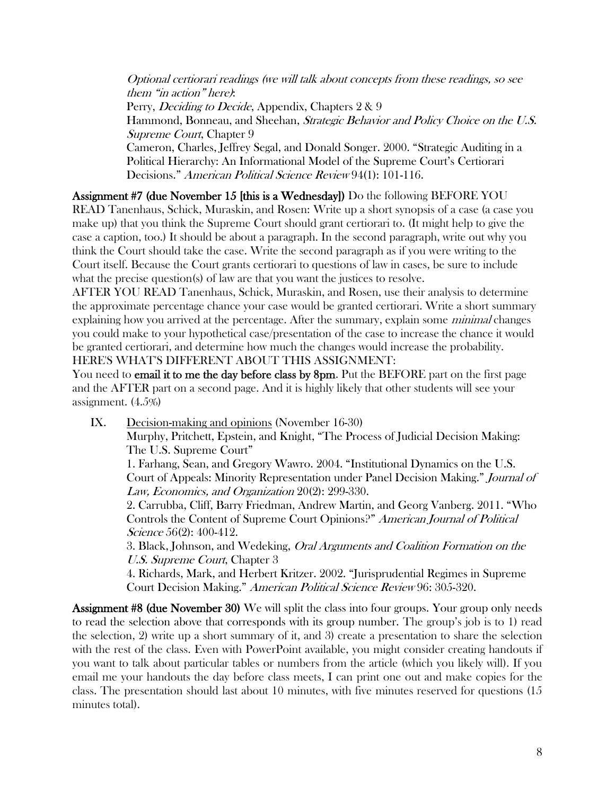Optional certiorari readings (we will talk about concepts from these readings, so see them "in action" here): Perry, *Deciding to Decide*, Appendix, Chapters 2 & 9 Hammond, Bonneau, and Sheehan, *Strategic Behavior and Policy Choice on the U.S.* Supreme Court, Chapter 9 Cameron, Charles, Jeffrey Segal, and Donald Songer. 2000. "Strategic Auditing in a Political Hierarchy: An Informational Model of the Supreme Court's Certiorari

Decisions." American Political Science Review 94(1): 101-116.

Assignment #7 (due November 15 [this is a Wednesday]) Do the following BEFORE YOU

READ Tanenhaus, Schick, Muraskin, and Rosen: Write up a short synopsis of a case (a case you make up) that you think the Supreme Court should grant certiorari to. (It might help to give the case a caption, too.) It should be about a paragraph. In the second paragraph, write out why you think the Court should take the case. Write the second paragraph as if you were writing to the Court itself. Because the Court grants certiorari to questions of law in cases, be sure to include what the precise question(s) of law are that you want the justices to resolve.

AFTER YOU READ Tanenhaus, Schick, Muraskin, and Rosen, use their analysis to determine the approximate percentage chance your case would be granted certiorari. Write a short summary explaining how you arrived at the percentage. After the summary, explain some *minimal* changes you could make to your hypothetical case/presentation of the case to increase the chance it would be granted certiorari, and determine how much the changes would increase the probability. HERE'S WHAT'S DIFFERENT ABOUT THIS ASSIGNMENT:

You need to **email it to me the day before class by 8pm.** Put the BEFORE part on the first page and the AFTER part on a second page. And it is highly likely that other students will see your assignment. (4.5%)

IX. Decision-making and opinions (November 16-30)

Murphy, Pritchett, Epstein, and Knight, "The Process of Judicial Decision Making: The U.S. Supreme Court"

1. Farhang, Sean, and Gregory Wawro. 2004. "Institutional Dynamics on the U.S. Court of Appeals: Minority Representation under Panel Decision Making." Journal of Law, Economics, and Organization 20(2): 299-330.

2. Carrubba, Cliff, Barry Friedman, Andrew Martin, and Georg Vanberg. 2011. "Who Controls the Content of Supreme Court Opinions?" American Journal of Political Science 56(2): 400-412.

3. Black, Johnson, and Wedeking, Oral Arguments and Coalition Formation on the U.S. Supreme Court, Chapter 3

4. Richards, Mark, and Herbert Kritzer. 2002. "Jurisprudential Regimes in Supreme Court Decision Making." American Political Science Review 96: 305-320.

Assignment #8 (due November 30) We will split the class into four groups. Your group only needs to read the selection above that corresponds with its group number. The group's job is to 1) read the selection, 2) write up a short summary of it, and 3) create a presentation to share the selection with the rest of the class. Even with PowerPoint available, you might consider creating handouts if you want to talk about particular tables or numbers from the article (which you likely will). If you email me your handouts the day before class meets, I can print one out and make copies for the class. The presentation should last about 10 minutes, with five minutes reserved for questions (15 minutes total).